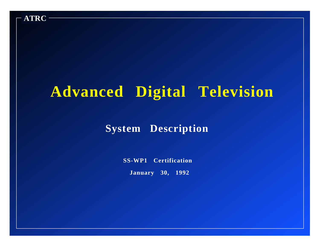

# **Advanced Digital Television**

#### **System Description**

**SS-WP1 Certification**

**January 30, 1992**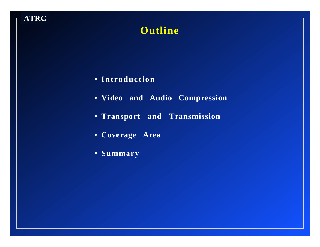## **Outline**

**• Introduction**

- **• Video and Audio Compression**
- **• Transport and Transmission**
- **• Coverage Area**
- **• Summary**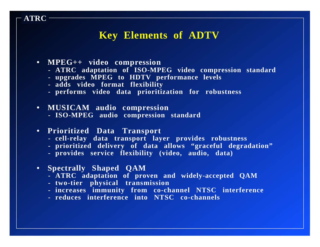#### **Key Elements of ADTV**

**• MPEG++ video compression**

- **- ATRC adaptation of ISO-MPEG video compression standard**
- **- upgrades MPEG to HDTV performance levels**
- **- adds video format flexibility**
- **- performs video data prioritization for robustness**
- **• MUSICAM audio compression**
	- **- ISO-MPEG audio compression standard**
- **• Prioritized Data Transport**
	- **- cell-relay data transport layer provides robustness**
	- **- prioritized delivery of data allows "graceful degradation"**
	- **- provides service flexibility (video, audio, data)**
- **• Spectrally Shaped QAM**
	- **- ATRC adaptation of proven and widely-accepted QAM**
	- **- two-tier physical transmission**
	- **- increases immunity from co-channel NTSC interference**
	- **- reduces interference into NTSC co-channels**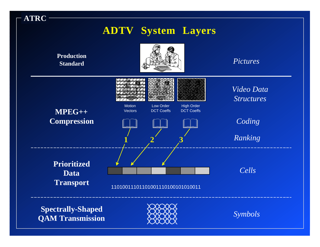

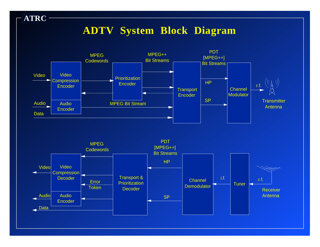## **ADTV System Block Diagram**



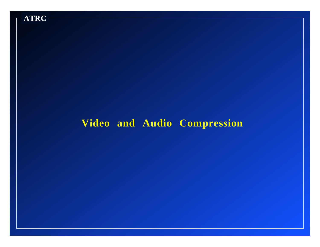

## **Video and Audio Compression**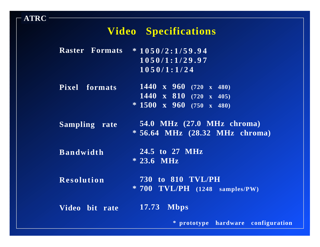#### **Video Specifications**

|  | <b>Raster Formats * 1050/2:1/59.94</b> |
|--|----------------------------------------|
|  | 1050/1:1/29.97                         |
|  | 1050/1:1/24                            |

- **Pixel formats 1440 x 960 (720 x 480) 1440 x 810 (720 x 405) \* 1500 x 960 (750 x 480)**
- **Sampling rate 54.0 MHz (27.0 MHz chroma) \* 56.64 MHz (28.32 MHz chroma)**
- **Bandwidth 24.5 to 27 MHz \* 23.6 MHz**
- **Resolution 730 to 810 TVL/PH \* 700 TVL/PH (1248 samples/PW)**
- **Video bit rate 17.73 Mbps**

**\* prototype hardware configuration**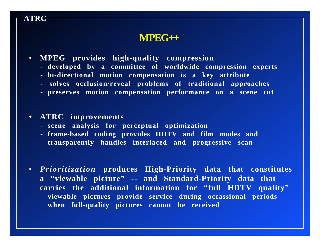#### **MPEG++**

- **• MPEG provides high-quality compression**
	- **- developed by a committee of worldwide compression experts**
	- **- bi-directional motion compensation is a key attribute**
	- **solves occlusion/reveal problems of traditional approaches**
	- **- preserves motion compensation performance on a scene cut**

#### **• ATRC improvements**

- **- scene analysis for perceptual optimization**
- **- frame-based coding provides HDTV and film modes and transparently handles interlaced and progressive scan**
- **•** *Prioritization* **produces High-Priority data that constitutes <sup>a</sup>"viewable picture" -- and Standard-Priority data that carries the additional information for "full HDTV quality" - viewable pictures provide service during occassional periods when full-quality pictures cannot be received**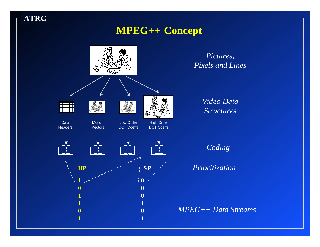### **MPEG++ Concept**

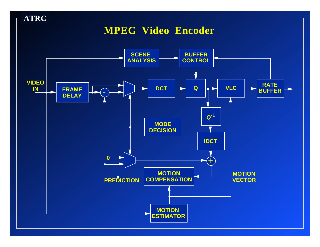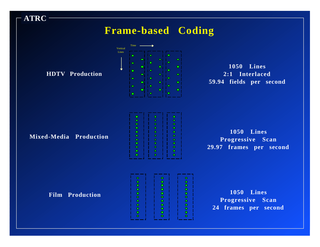### **Frame-based Coding**

**HDTV Production**



**1050 Lines 2:1 Interlaced 59.94 fields per second**

#### **Mixed-Media Production**

| ___<br>n  | ---- | ___<br>0 |
|-----------|------|----------|
| ۰         | ۰    | ٠        |
| ۰         | ٠    | ٠        |
| ٠         | ٥    | ٠        |
| $\bullet$ |      | ۰        |
| ٠         | O    | ٠        |
| ۰         | ٥    | ٠        |
| $\bullet$ | ٥    | ۰        |
| ٠         | ۵    | ٠        |
| $\bullet$ | n    | ٥        |
|           |      | ۰        |
|           |      |          |

**1050 Lines Progressive Scan 29.97 frames per second**

**Film Production**



**1050 Lines Progressive Scan 24 frames per second**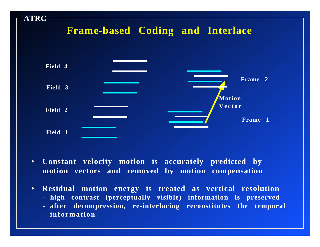

- **• Constant velocity motion is accurately predicted by motion vectors and removed by motion compensation**
- **• Residual motion energy is treated as vertical resolution**
	- **- high contrast (perceptually visible) information is preserved**
	- **- after decompression, re-interlacing reconstitutes the temporal information**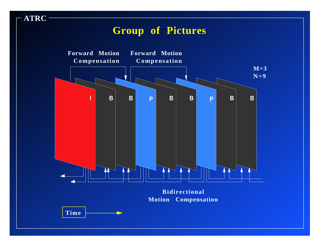### **Group of Pictures**

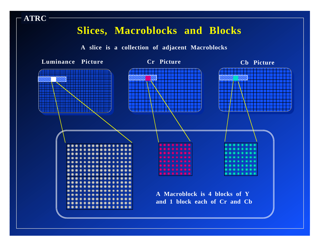### **Slices, Macroblocks and Blocks**

**A slice is a collection of adjacent Macroblocks**

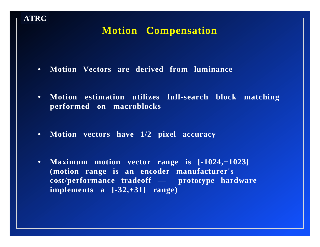## **Motion Compensation**

**• Motion Vectors are derived from luminance**

- **• Motion estimation utilizes full-search block matching performed on macroblocks**
- **• Motion vectors have 1/2 pixel accuracy**
- **• Maximum motion vector range is [-1024,+1023] (motion range is an encoder manufacturer's cost/performance tradeoff — prototype hardware implements a [-32,+31] range)**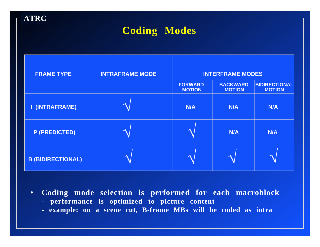## **Coding Modes**

| <b>FRAME TYPE</b>        | <b>INTRAFRAME MODE</b> | <b>INTERFRAME MODES</b>         |                                  |                                       |
|--------------------------|------------------------|---------------------------------|----------------------------------|---------------------------------------|
|                          |                        | <b>FORWARD</b><br><b>MOTION</b> | <b>BACKWARD</b><br><b>MOTION</b> | <b>BIDIRECTIONAL</b><br><b>MOTION</b> |
| I (INTRAFRAME)           |                        | <b>N/A</b>                      | N/A                              | <b>N/A</b>                            |
| <b>P (PREDICTED)</b>     |                        |                                 | <b>N/A</b>                       | <b>N/A</b>                            |
| <b>B (BIDIRECTIONAL)</b> |                        |                                 |                                  |                                       |

**• Coding mode selection is performed for each macroblock**

- **performance is optimized to picture content**
- **example: on a scene cut, B-frame MBs will be coded as intra**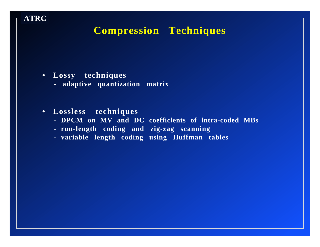## **Compression Techniques**

**• Lossy techniques**

- **adaptive quantization matrix**
- **• Lossless techniques**
	- **- DPCM on MV and DC coefficients of intra-coded MBs**
	- **- run-length coding and zig-zag scanning**
	- **- variable length coding using Huffman tables**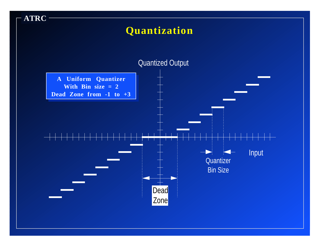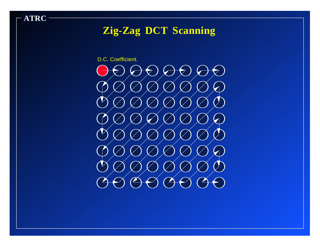## **Zig-Zag DCT Scanning**

D.C. Coefficient.

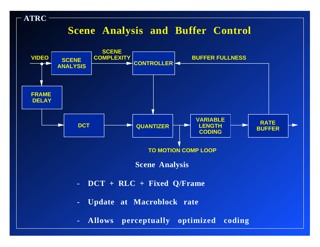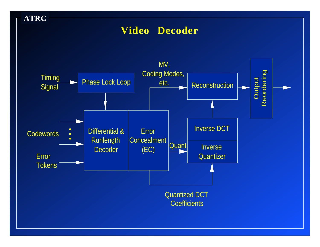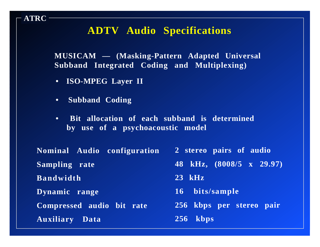### **ADTV Audio Specifications**

**MUSICAM — (Masking-Pattern Adapted Universal Subband Integrated Coding and Multiplexing)**

- **ISO-MPEG Layer II**
- **Subband Coding**

**ATRC**

**• Bit allocation of each subband is determined by use of a psychoacoustic model**

| Nominal Audio configuration | 2 stereo pairs of audio  |
|-----------------------------|--------------------------|
| Sampling rate               | 48 kHz, (8008/5 x 29.97) |
| <b>Bandwidth</b>            | $23$ kHz                 |
| Dynamic range               | 16 bits/sample           |
| Compressed audio bit rate   | 256 kbps per stereo pair |
| <b>Auxiliary Data</b>       | $256$ kbps               |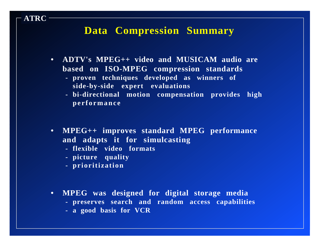#### **Data Compression Summary**

- **• ADTV's MPEG++ video and MUSICAM audio are based on ISO-MPEG compression standards**
	- **- proven techniques developed as winners of side-by-side expert evaluations**
	- **- bi-directional motion compensation provides high performance**
- **• MPEG++ improves standard MPEG performance and adapts it for simulcasting**
	- **- flexible video formats**
	- **- picture quality**
	- **- prioritization**

- **• MPEG was designed for digital storage media** 
	- **- preserves search and random access capabilities**
	- **- a good basis for VCR**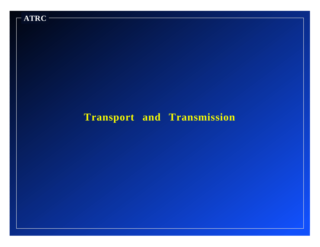

## **Transport and Transmission**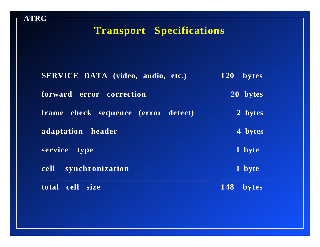## **Transport Specifications**

| <b>SERVICE DATA</b> (video, audio, etc.)      | <b>120</b><br>bytes |
|-----------------------------------------------|---------------------|
| forward error correction                      | 20 bytes            |
| check sequence (error detect)<br><b>frame</b> | 2 bytes             |
| adaptation header                             | 4 bytes             |
| service<br>type                               | 1 byte              |
| synchronization<br><b>cell</b>                | 1 byte              |
| cell<br>total<br><b>size</b>                  | 148<br>bytes        |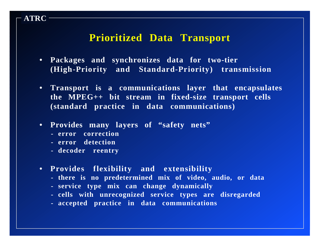#### **Prioritized Data Transport**

- **• Packages and synchronizes data for two-tier (High-Priority and Standard-Priority) transmission**
- **• Transport is a communications layer that encapsulates the MPEG++ bit stream in fixed-size transport cells (standard practice in data communications)**
- **• Provides many layers of "safety nets"**
	- **- error correction**

- **- error detection**
- **- decoder reentry**
- **• Provides flexibility and extensibility**
	- **- there is no predetermined mix of video, audio, or data**
	- **- service type mix can change dynamically**
	- **- cells with unrecognized service types are disregarded**
	- **- accepted practice in data communications**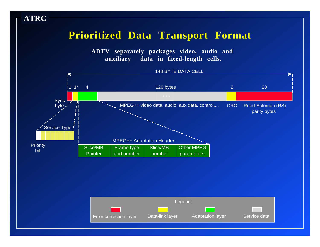#### **Prioritized Data Transport Format**

**ATRC**

**ADTV separately packages video, audio and auxiliary data in fixed-length cells.**



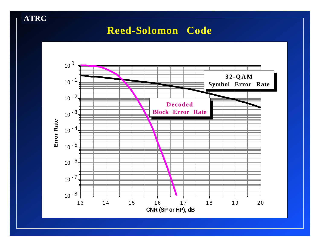## **Reed-Solomon Code**

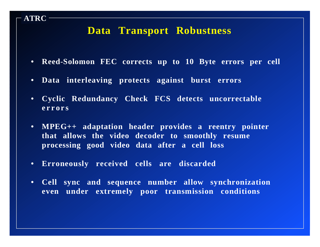#### **Data Transport Robustness**

- **• Reed-Solomon FEC corrects up to 10 Byte errors per cell**
- **• Data interleaving protects against burst errors**

- **• Cyclic Redundancy Check FCS detects uncorrectable errors**
- **• MPEG++ adaptation header provides a reentry pointer that allows the video decoder to smoothly resume processing good video data after a cell loss**
- **• Erroneously received cells are discarded**
- **• Cell sync and sequence number allow synchronization even under extremely poor transmission conditions**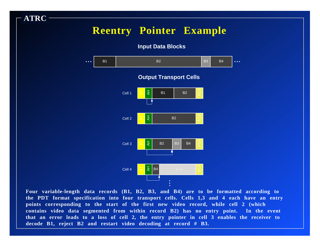## **Reentry Pointer Example**

**ATRC**

**Input Data Blocks**



**Four variable-length data records (B1, B2, B3, and B4) are to be formatted according to the PDT format specification into four transport cells. Cells 1,3 and 4 each have an entry points corresponding to the start of the first new video record, while cell 2 (which contains video data segmented from within record B2) has no entry point. In the event that an error leads to a loss of cell 2, the entry pointer in cell 3 enables the receiver to decode B1, reject B2 and restart video decoding at record # B3.**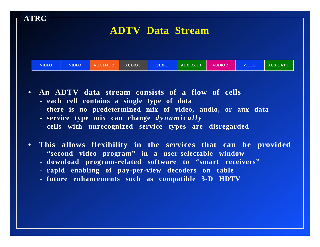| $\mathsf{\Gamma}$ ATRC $\mathsf{\Gamma}$ |              |                  |         |              | <b>ADTV Data Stream</b> |                |              |                  |
|------------------------------------------|--------------|------------------|---------|--------------|-------------------------|----------------|--------------|------------------|
| <b>VIDEO</b>                             | <b>VIDEO</b> | <b>AUX DAT 2</b> | AUDIO 1 | <b>VIDEO</b> | <b>AUX DAT 1</b>        | <b>AUDIO 2</b> | <b>VIDEO</b> | <b>AUX DAT 1</b> |

**• An ADTV data stream consists of a flow of cells**

- **each cell contains a single type of data**
- **- there is no predetermined mix of video, audio, or aux data**
- **- service type mix can change** *dynamically*
- **- cells with unrecognized service types are disregarded**
- **• This allows flexibility in the services that can be provided**
	- **- "second video program" in a user-selectable window**
	- **- download program-related software to "smart receivers"**
	- **- rapid enabling of pay-per-view decoders on cable**
	- **- future enhancements such as compatible 3-D HDTV**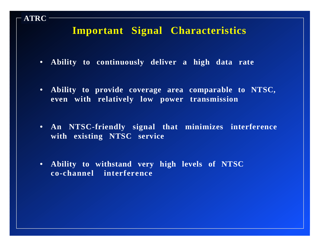## **Important Signal Characteristics**

- **• Ability to continuously deliver a high data rate**
- **• Ability to provide coverage area comparable to NTSC, even with relatively low power transmission**
- **• An NTSC-friendly signal that minimizes interference with existing NTSC service**
- **• Ability to withstand very high levels of NTSC co-channel interference**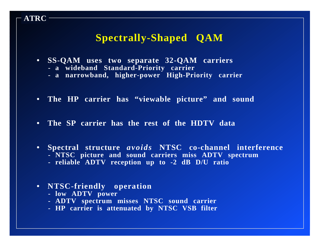## **Spectrally-Shaped QAM**

- **• SS-QAM uses two separate 32-QAM carriers**
	- **- a wideband Standard-Priority carrier**
	- **- a narrowband, higher-power High-Priority carrier**
- **• The HP carrier has "viewable picture" and sound**
- **• The SP carrier has the rest of the HDTV data**
- **• Spectral structure** *avoids* **NTSC co-channel interference**
	- **- NTSC picture and sound carriers miss ADTV spectrum**
	- **- reliable ADTV reception up to -2 dB D/U ratio**

#### **• NTSC-friendly operation**

**- low ADTV power**

- **- ADTV spectrum misses NTSC sound carrier**
- **- HP carrier is attenuated by NTSC VSB filter**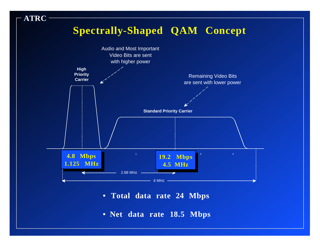## **Spectrally-Shaped QAM Concept**



- **Total data rate 24 Mbps**
- **• Net data rate 18.5 Mbps**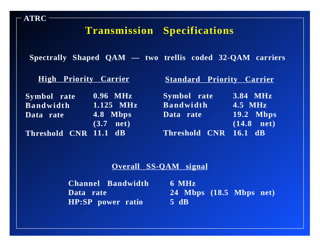## **Transmission Specifications**

**Spectrally Shaped QAM — two trellis coded 32-QAM carriers**

| <b>High Priority Carrier</b> |                       | <b>Standard Priority Carrier</b> |                  |  |
|------------------------------|-----------------------|----------------------------------|------------------|--|
| Symbol rate                  | $\overline{0.96}$ MHz | Symbol rate                      | $3.84$ MHz       |  |
| <b>Bandwidth</b>             | $1.125$ MHz           | <b>Bandwidth</b>                 | <b>4.5 MHz</b>   |  |
| Data rate                    | 4.8 Mbps              | Data rate                        | <b>19.2 Mbps</b> |  |
|                              | $(3.7$ net)           |                                  | $(14.8$ net)     |  |
| Threshold CNR 11.1 dB        |                       | Threshold CNR 16.1 dB            |                  |  |

#### **Overall SS-QAM signal**

**6 MHz Channel Bandwidth 24 Mbps (18.5 Mbps net) 5 dB HP:SP power ratio Data rate**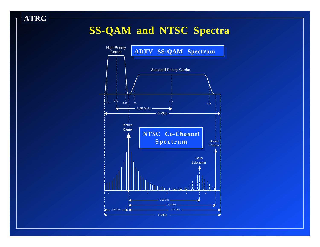## **SS-QAM and NTSC Spectra**

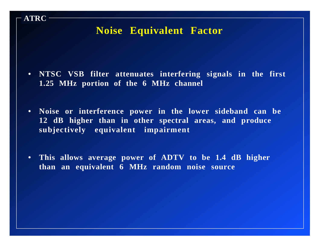### **Noise Equivalent Factor**

- **• NTSC VSB filter attenuates interfering signals in the first 1.25 MHz portion of the 6 MHz channel**
- **• Noise or interference power in the lower sideband can be 12 dB higher than in other spectral areas, and produce subjectively equivalent impairment**
- **• This allows average power of ADTV to be 1.4 dB higher than an equivalent 6 MHz random noise source**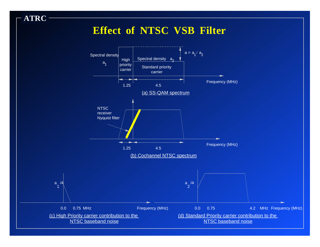## **Effect of NTSC VSB Filter**

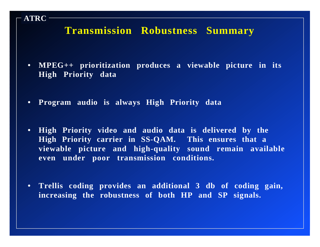## **Transmission Robustness Summary**

- **• MPEG++ prioritization produces a viewable picture in its High Priority data**
- **• Program audio is always High Priority data**

- **• High Priority video and audio data is delivered by the High Priority carrier in SS-QAM. This ensures that a viewable picture and high-quality sound remain available even under poor transmission conditions.**
- **• Trellis coding provides an additional 3 db of coding gain, increasing the robustness of both HP and SP signals.**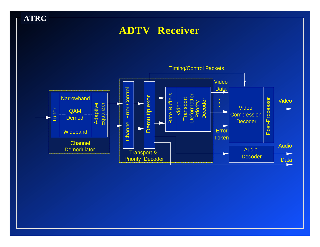## **ADTV Receiver**

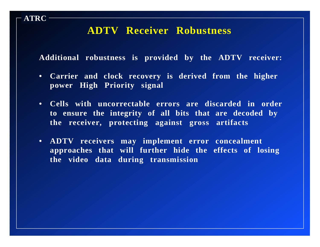#### **ADTV Receiver Robustness**

**ATRC**

**Additional robustness is provided by the ADTV receiver:**

- **• Carrier and clock recovery is derived from the higher power High Priority signal**
- **• Cells with uncorrectable errors are discarded in order to ensure the integrity of all bits that are decoded by the receiver, protecting against gross artifacts**
- **• ADTV receivers may implement error concealment approaches that will further hide the effects of losing the video data during transmission**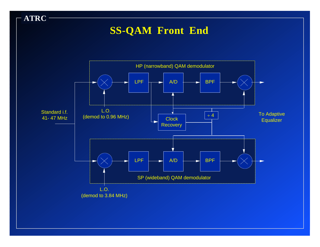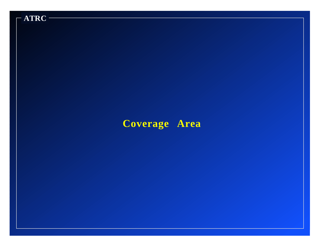## **Coverage Area**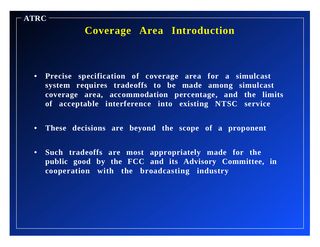#### **Coverage Area Introduction**

- **• Precise specification of coverage area for a simulcast system requires tradeoffs to be made among simulcast coverage area, accommodation percentage, and the limits of acceptable interference into existing NTSC service**
- **• These decisions are beyond the scope of a proponent**
- **• Such tradeoffs are most appropriately made for the public good by the FCC and its Advisory Committee, in cooperation with the broadcasting industry**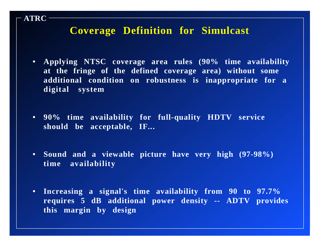#### **Coverage Definition for Simulcast**

- **• Applying NTSC coverage area rules (90% time availability at the fringe of the defined coverage area) without some additional condition on robustness is inappropriate for a digital system**
- **• 90% time availability for full-quality HDTV service should be acceptable, IF...**
- **• Sound and a viewable picture have very high (97-98%) time availability**
- **• Increasing a signal's time availability from 90 to 97.7% requires 5 dB additional power density -- ADTV provides this margin by design**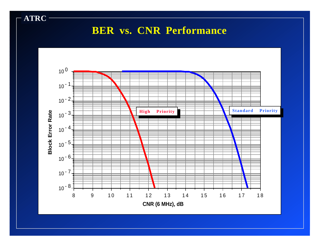## **BER vs. CNR Performance**

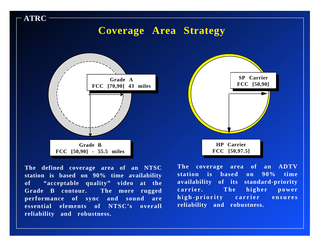## **Coverage Area Strategy**



**ATRC**





**The coverage area of an ADTV station is based on 90% time availability of its standard-priority carrier. The higher power high-priority carrier ensures reliability and robustness.**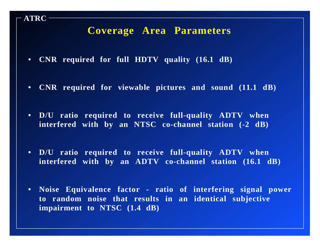#### **Coverage Area Parameters**

- **• CNR required for full HDTV quality (16.1 dB)**
- **• CNR required for viewable pictures and sound (11.1 dB)**
- **• D/U ratio required to receive full-quality ADTV when interfered with by an NTSC co-channel station (-2 dB)**
- **• D/U ratio required to receive full-quality ADTV when interfered with by an ADTV co-channel station (16.1 dB)**
- **• Noise Equivalence factor ratio of interfering signal power to random noise that results in an identical subjective impairment to NTSC (1.4 dB)**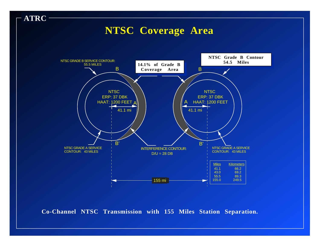### **NTSC Coverage Area**

**ATRC**



**Co-Channel NTSC Transmission with 155 Miles Station Separation.**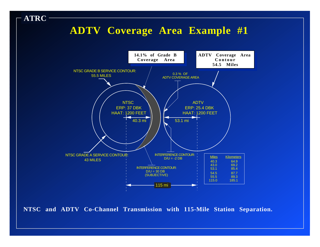### **ADTV Coverage Area Example #1**

**ATRC**



**NTSC and ADTV Co-Channel Transmission with 115-Mile Station Separation.**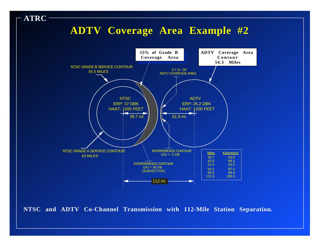## **ADTV Coverage Area Example #2**



**NTSC and ADTV Co-Channel Transmission with 112-Mile Station Separation.**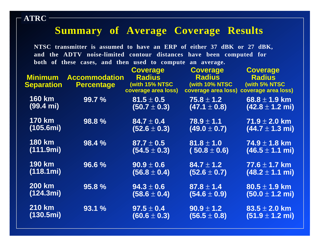### **Summary of Average Coverage Results**

**NTSC transmitter is assumed to have an ERP of either 37 dBK or 27 dBK, and the ADTV noise-limited contour distances have been computed for both of these cases, and then used to compute an average.**

|                     |                      | <b>Coverage</b>     | <b>Coverage</b>                         | <b>Coverage</b>             |
|---------------------|----------------------|---------------------|-----------------------------------------|-----------------------------|
| <b>Minimum</b>      | <b>Accommodation</b> | <b>Radius</b>       | <b>Radius</b>                           | <b>Radius</b>               |
| <b>Separation</b>   | <b>Percentage</b>    | (with 15% NTSC      | (with 10% NTSC                          | (with 5% NTSC               |
|                     |                      | coverage area loss) | coverage area loss) coverage area loss) |                             |
| <b>160 km</b>       | 99.7%                | $81.5 \pm 0.5$      | $\textbf{75.8} \pm \textbf{1.2}$        | 68.8 $\pm$ 1.9 km           |
| $(99.4 \text{ mi})$ |                      | $(50.7 \pm 0.3)$    | $(47.1 \pm 0.8)$                        | $(42.8 \pm 1.2 \text{ mi})$ |
|                     |                      |                     |                                         |                             |
| <b>170 km</b>       | 98.8%                | $84.7 \pm 0.4$      | $78.9 \pm 1.1$                          | $71.9 \pm 2.0$ km           |
| (105.6mi)           |                      | $(52.6 \pm 0.3)$    | $(49.0 \pm 0.7)$                        | $(44.7 \pm 1.3 \text{ mi})$ |
|                     |                      |                     |                                         |                             |
| <b>180 km</b>       | 98.4 %               | $87.7 \pm 0.5$      | $81.8 \pm 1.0$                          | $74.9 \pm 1.8$ km           |
| (111.9mi)           |                      |                     |                                         |                             |
|                     |                      | $(54.5 \pm 0.3)$    | $(50.8 \pm 0.6)$                        | $(46.5 \pm 1.1 \text{ mi})$ |
| <b>190 km</b>       | 96.6%                | $90.9 \pm 0.6$      | $84.7 \pm 1.2$                          | $77.6 \pm 1.7$ km           |
| (118.1mi)           |                      |                     |                                         |                             |
|                     |                      | $(56.8 \pm 0.4)$    | $(52.6 \pm 0.7)$                        | $(48.2 \pm 1.1 \text{ mi})$ |
| <b>200 km</b>       |                      |                     |                                         |                             |
|                     | 95.8%                | $94.3 \pm 0.6$      | $87.8 \pm 1.4$                          | $80.5 \pm 1.9$ km           |
| (124.3mi)           |                      | $(58.6 \pm 0.4)$    | $(54.6 \pm 0.9)$                        | $(50.0 \pm 1.2 \text{ mi})$ |
|                     |                      |                     |                                         |                             |
| <b>210 km</b>       | 93.1 %               | $97.5 \pm 0.4$      | $90.9 \pm 1.2$                          | $83.5 \pm 2.0$ km           |
| (130.5mi)           |                      | $(60.6 \pm 0.3)$    | $(56.5 \pm 0.8)$                        | $(51.9 \pm 1.2 \text{ mi})$ |
|                     |                      |                     |                                         |                             |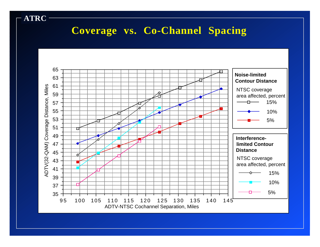## **Coverage vs. Co-Channel Spacing**

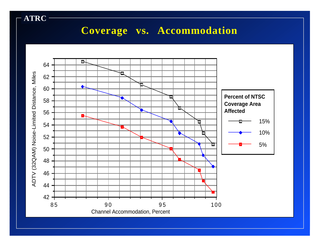## **Coverage vs. Accommodation**

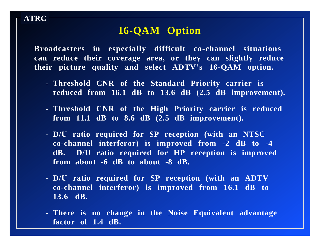## **16-QAM Option**

**ATRC**

**Broadcasters in especially difficult co-channel situations can reduce their coverage area, or they can slightly reduce their picture quality and select ADTV's 16-QAM option.**

- **- Threshold CNR of the Standard Priority carrier is reduced from 16.1 dB to 13.6 dB (2.5 dB improvement).**
- **- Threshold CNR of the High Priority carrier is reduced from 11.1 dB to 8.6 dB (2.5 dB improvement).**
- **- D/U ratio required for SP reception (with an NTSC co-channel interferor) is improved from -2 dB to -4 dB. D/U ratio required for HP reception is improved from about -6 dB to about -8 dB.**
- **- D/U ratio required for SP reception (with an ADTV co-channel interferor) is improved from 16.1 dB to 13.6 dB.**
- **- There is no change in the Noise Equivalent advantage factor of 1.4 dB.**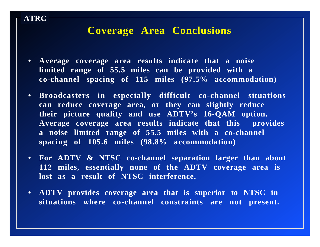#### **Coverage Area Conclusions**

**• Average coverage area results indicate that a noise limited range of 55.5 miles can be provided with a co-channel spacing of 115 miles (97.5% accommodation)**

- **• Broadcasters in especially difficult co-channel situations can reduce coverage area, or they can slightly reduce their picture quality and use ADTV's 16-QAM option. Average coverage area results indicate that this provides a noise limited range of 55.5 miles with a co-channel spacing of 105.6 miles (98.8% accommodation)**
- **• For ADTV & NTSC co-channel separation larger than about 112 miles, essentially none of the ADTV coverage area is lost as a result of NTSC interference.**
- **• ADTV provides coverage area that is superior to NTSC in situations where co-channel constraints are not present.**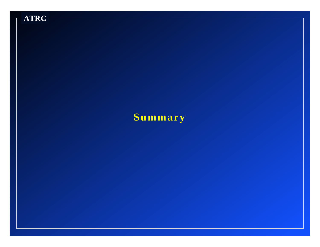

## **Summary**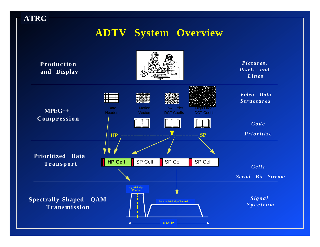#### **ATRC ADTV System Overview Production and Display MPEG++ Compression Prioritized Data Transport Spectrally-Shaped QAM Transmission** *Pictures, Pixels and Lines Code Prioritize Video Data Structures Cells Serial Bit Stream Signal Spectrum* **HP**  $\cdots$  **SP HP Cell** SP Cell SP Cell SP Cell Standard-Priority Channel High-Priority **Channel**  $-$  6 MHz  $-$  6 MHz **Motion Vectors** High Order DCT Coeffs Low Order DCT Coeffs Data **Headers**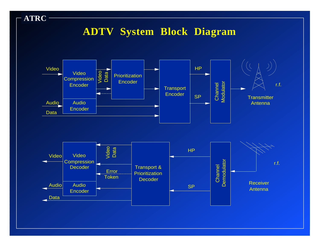## **ADTV System Block Diagram**

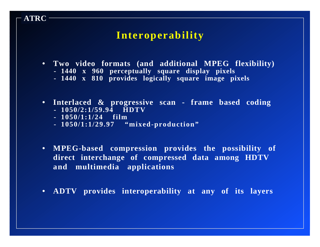#### **Interoperability**

- **• Two video formats (and additional MPEG flexibility)**
	- **- 1440 x 960 perceptually square display pixels**
	- **- 1440 x 810 provides logically square image pixels**
- **• Interlaced & progressive scan frame based coding - 1050/2:1/59.94 HDTV**
	-
	- **- 1050/1:1/24 film**

- **- 1050/1:1/29.97 "mixed-production"**
- **• MPEG-based compression provides the possibility of direct interchange of compressed data among HDTV and multimedia applications**
- **• ADTV provides interoperability at any of its layers**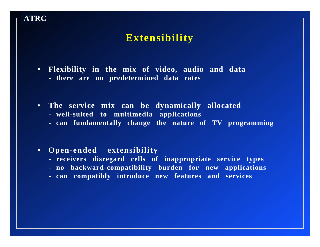#### **Extensibility**

- **• Flexibility in the mix of video, audio and data - there are no predetermined data rates**
- **• The service mix can be dynamically allocated**
	- **- well-suited to multimedia applications**
	- **- can fundamentally change the nature of TV programming**

**• Open-ended extensibility**

- **- receivers disregard cells of inappropriate service types**
- **- no backward-compatibility burden for new applications**
- **- can compatibly introduce new features and services**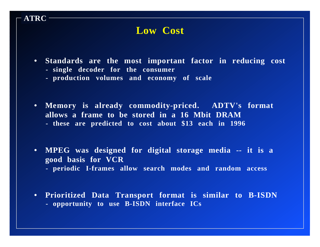#### **Low Cost**

- **• Standards are the most important factor in reducing cost**
	- **- single decoder for the consumer**

- **- production volumes and economy of scale**
- **• Memory is already commodity-priced. ADTV's format allows a frame to be stored in a 16 Mbit DRAM - these are predicted to cost about \$13 each in 1996**
- **• MPEG was designed for digital storage media -- it is a good basis for VCR**
	- **- periodic I-frames allow search modes and random access**
- **• Prioritized Data Transport format is similar to B-ISDN - opportunity to use B-ISDN interface ICs**